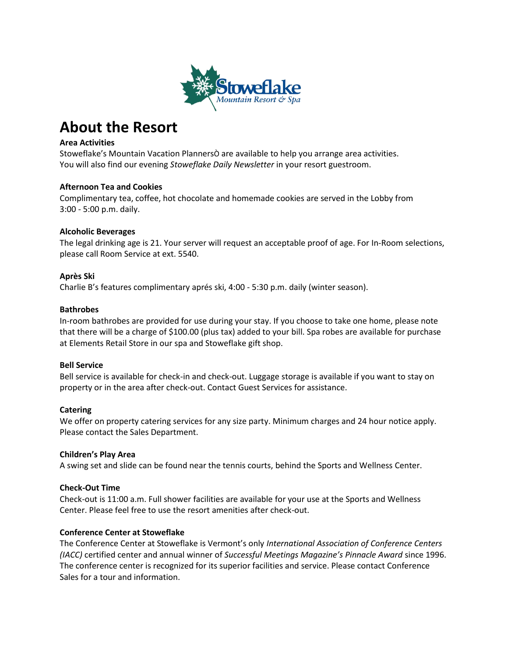

# **About the Resort**

# **Area Activities**

Stoweflake's Mountain Vacation PlannersÒ are available to help you arrange area activities. You will also find our evening *Stoweflake Daily Newsletter* in your resort guestroom.

# **Afternoon Tea and Cookies**

Complimentary tea, coffee, hot chocolate and homemade cookies are served in the Lobby from 3:00 - 5:00 p.m. daily.

# **Alcoholic Beverages**

The legal drinking age is 21. Your server will request an acceptable proof of age. For In-Room selections, please call Room Service at ext. 5540.

# **Après Ski**

Charlie B's features complimentary aprés ski, 4:00 - 5:30 p.m. daily (winter season).

# **Bathrobes**

In-room bathrobes are provided for use during your stay. If you choose to take one home, please note that there will be a charge of \$100.00 (plus tax) added to your bill. Spa robes are available for purchase at Elements Retail Store in our spa and Stoweflake gift shop.

# **Bell Service**

Bell service is available for check-in and check-out. Luggage storage is available if you want to stay on property or in the area after check-out. Contact Guest Services for assistance.

# **Catering**

We offer on property catering services for any size party. Minimum charges and 24 hour notice apply. Please contact the Sales Department.

# **Children's Play Area**

A swing set and slide can be found near the tennis courts, behind the Sports and Wellness Center.

# **Check-Out Time**

Check-out is 11:00 a.m. Full shower facilities are available for your use at the Sports and Wellness Center. Please feel free to use the resort amenities after check-out.

# **Conference Center at Stoweflake**

The Conference Center at Stoweflake is Vermont's only *International Association of Conference Centers (IACC)* certified center and annual winner of *Successful Meetings Magazine's Pinnacle Award* since 1996. The conference center is recognized for its superior facilities and service. Please contact Conference Sales for a tour and information.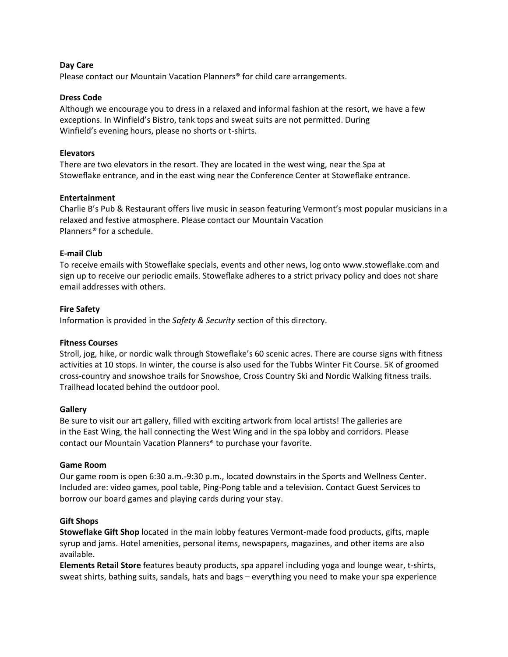## **Day Care**

Please contact our Mountain Vacation Planners® for child care arrangements.

## **Dress Code**

Although we encourage you to dress in a relaxed and informal fashion at the resort, we have a few exceptions. In Winfield's Bistro, tank tops and sweat suits are not permitted. During Winfield's evening hours, please no shorts or t-shirts.

## **Elevators**

There are two elevators in the resort. They are located in the west wing, near the Spa at Stoweflake entrance, and in the east wing near the Conference Center at Stoweflake entrance.

## **Entertainment**

Charlie B's Pub & Restaurant offers live music in season featuring Vermont's most popular musicians in a relaxed and festive atmosphere. Please contact our Mountain Vacation Planners*®* for a schedule.

# **E-mail Club**

To receive emails with Stoweflake specials, events and other news, log onto www.stoweflake.com and sign up to receive our periodic emails. Stoweflake adheres to a strict privacy policy and does not share email addresses with others.

## **Fire Safety**

Information is provided in the *Safety & Security* section of this directory.

#### **Fitness Courses**

Stroll, jog, hike, or nordic walk through Stoweflake's 60 scenic acres. There are course signs with fitness activities at 10 stops. In winter, the course is also used for the Tubbs Winter Fit Course. 5K of groomed cross-country and snowshoe trails for Snowshoe, Cross Country Ski and Nordic Walking fitness trails. Trailhead located behind the outdoor pool.

#### **Gallery**

Be sure to visit our art gallery, filled with exciting artwork from local artists! The galleries are in the East Wing, the hall connecting the West Wing and in the spa lobby and corridors. Please contact our Mountain Vacation Planners® to purchase your favorite.

#### **Game Room**

Our game room is open 6:30 a.m.-9:30 p.m., located downstairs in the Sports and Wellness Center. Included are: video games, pool table, Ping-Pong table and a television. Contact Guest Services to borrow our board games and playing cards during your stay.

#### **Gift Shops**

**Stoweflake Gift Shop** located in the main lobby features Vermont-made food products, gifts, maple syrup and jams. Hotel amenities, personal items, newspapers, magazines, and other items are also available.

**Elements Retail Store** features beauty products, spa apparel including yoga and lounge wear, t-shirts, sweat shirts, bathing suits, sandals, hats and bags – everything you need to make your spa experience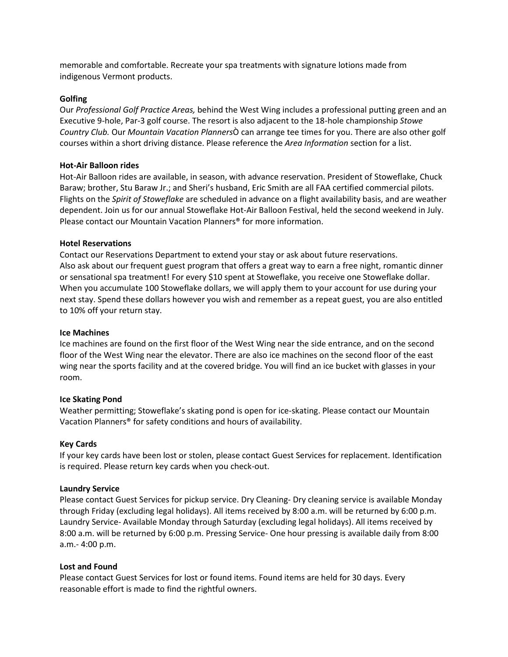memorable and comfortable. Recreate your spa treatments with signature lotions made from indigenous Vermont products.

## **Golfing**

Our *Professional Golf Practice Areas,* behind the West Wing includes a professional putting green and an Executive 9-hole, Par-3 golf course. The resort is also adjacent to the 18-hole championship *Stowe Country Club.* Our *Mountain Vacation Planners*Ò can arrange tee times for you. There are also other golf courses within a short driving distance. Please reference the *Area Information* section for a list.

## **Hot-Air Balloon rides**

Hot-Air Balloon rides are available, in season, with advance reservation. President of Stoweflake, Chuck Baraw; brother, Stu Baraw Jr.; and Sheri's husband, Eric Smith are all FAA certified commercial pilots. Flights on the *Spirit of Stoweflake* are scheduled in advance on a flight availability basis, and are weather dependent. Join us for our annual Stoweflake Hot-Air Balloon Festival, held the second weekend in July. Please contact our Mountain Vacation Planners® for more information.

## **Hotel Reservations**

Contact our Reservations Department to extend your stay or ask about future reservations. Also ask about our frequent guest program that offers a great way to earn a free night, romantic dinner or sensational spa treatment! For every \$10 spent at Stoweflake, you receive one Stoweflake dollar. When you accumulate 100 Stoweflake dollars, we will apply them to your account for use during your next stay. Spend these dollars however you wish and remember as a repeat guest, you are also entitled to 10% off your return stay.

## **Ice Machines**

Ice machines are found on the first floor of the West Wing near the side entrance, and on the second floor of the West Wing near the elevator. There are also ice machines on the second floor of the east wing near the sports facility and at the covered bridge. You will find an ice bucket with glasses in your room.

# **Ice Skating Pond**

Weather permitting; Stoweflake's skating pond is open for ice-skating. Please contact our Mountain Vacation Planners® for safety conditions and hours of availability.

#### **Key Cards**

If your key cards have been lost or stolen, please contact Guest Services for replacement. Identification is required. Please return key cards when you check-out.

#### **Laundry Service**

Please contact Guest Services for pickup service. Dry Cleaning- Dry cleaning service is available Monday through Friday (excluding legal holidays). All items received by 8:00 a.m. will be returned by 6:00 p.m. Laundry Service- Available Monday through Saturday (excluding legal holidays). All items received by 8:00 a.m. will be returned by 6:00 p.m. Pressing Service- One hour pressing is available daily from 8:00 a.m.- 4:00 p.m.

#### **Lost and Found**

Please contact Guest Services for lost or found items. Found items are held for 30 days. Every reasonable effort is made to find the rightful owners.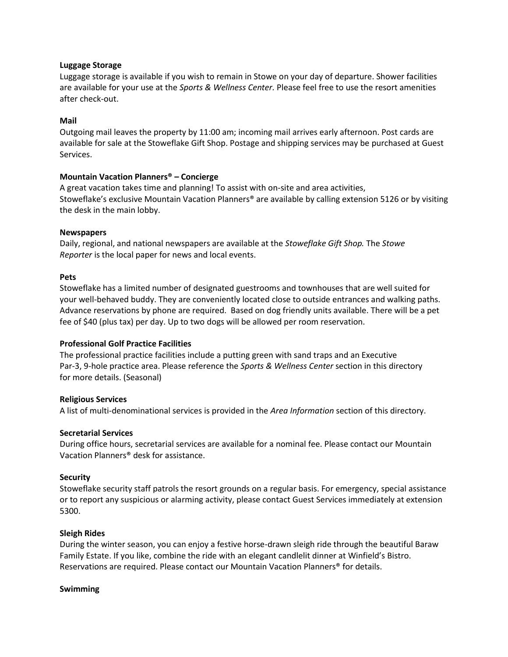## **Luggage Storage**

Luggage storage is available if you wish to remain in Stowe on your day of departure. Shower facilities are available for your use at the *Sports & Wellness Center.* Please feel free to use the resort amenities after check-out.

## **Mail**

Outgoing mail leaves the property by 11:00 am; incoming mail arrives early afternoon. Post cards are available for sale at the Stoweflake Gift Shop. Postage and shipping services may be purchased at Guest Services.

# **Mountain Vacation Planners® – Concierge**

A great vacation takes time and planning! To assist with on-site and area activities, Stoweflake's exclusive Mountain Vacation Planners® are available by calling extension 5126 or by visiting the desk in the main lobby.

## **Newspapers**

Daily, regional, and national newspapers are available at the *Stoweflake Gift Shop.* The *Stowe Reporter* is the local paper for news and local events.

#### **Pets**

Stoweflake has a limited number of designated guestrooms and townhouses that are well suited for your well-behaved buddy. They are conveniently located close to outside entrances and walking paths. Advance reservations by phone are required. Based on dog friendly units available. There will be a pet fee of \$40 (plus tax) per day. Up to two dogs will be allowed per room reservation.

#### **Professional Golf Practice Facilities**

The professional practice facilities include a putting green with sand traps and an Executive Par-3, 9-hole practice area. Please reference the *Sports & Wellness Center* section in this directory for more details. (Seasonal)

#### **Religious Services**

A list of multi-denominational services is provided in the *Area Information* section of this directory.

#### **Secretarial Services**

During office hours, secretarial services are available for a nominal fee. Please contact our Mountain Vacation Planners® desk for assistance.

#### **Security**

Stoweflake security staff patrols the resort grounds on a regular basis. For emergency, special assistance or to report any suspicious or alarming activity, please contact Guest Services immediately at extension 5300.

# **Sleigh Rides**

During the winter season, you can enjoy a festive horse-drawn sleigh ride through the beautiful Baraw Family Estate. If you like, combine the ride with an elegant candlelit dinner at Winfield's Bistro. Reservations are required. Please contact our Mountain Vacation Planners® for details.

#### **Swimming**